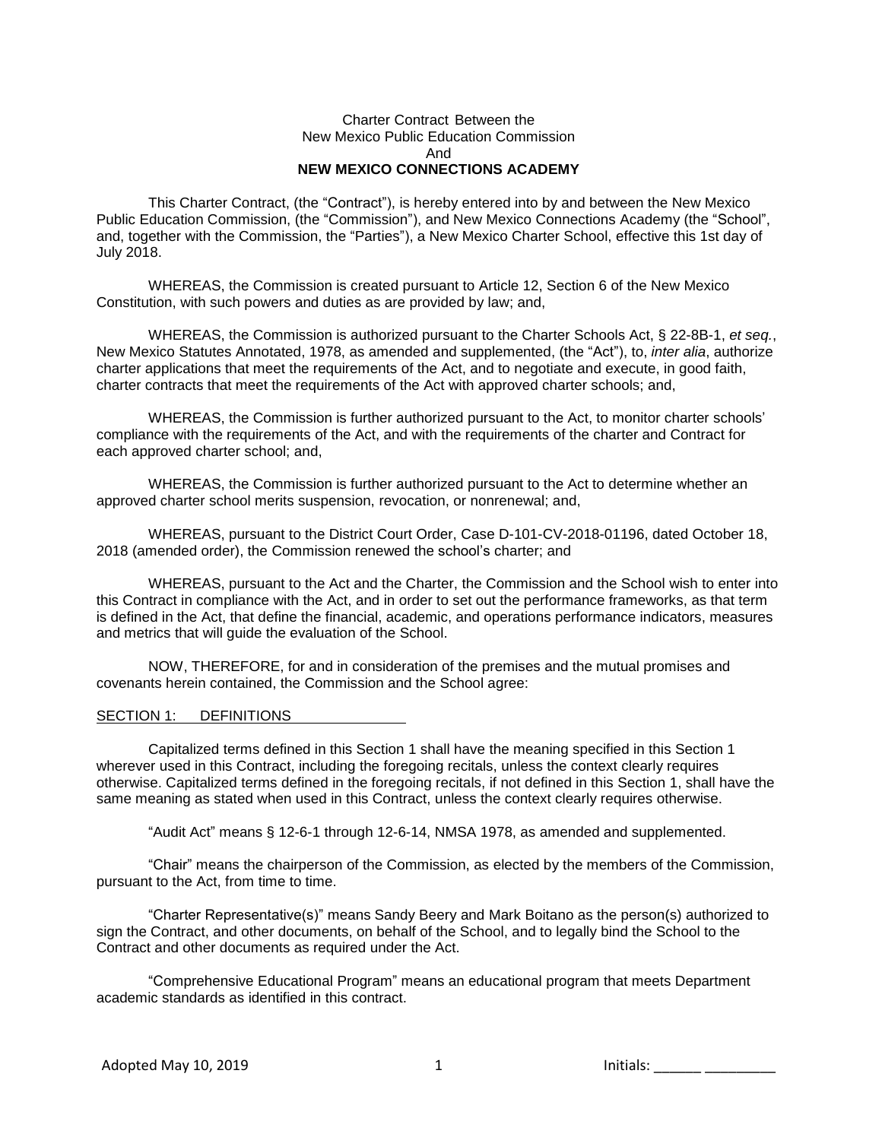### Charter Contract Between the New Mexico Public Education Commission And **NEW MEXICO CONNECTIONS ACADEMY**

This Charter Contract, (the "Contract"), is hereby entered into by and between the New Mexico Public Education Commission, (the "Commission"), and New Mexico Connections Academy (the "School", and, together with the Commission, the "Parties"), a New Mexico Charter School, effective this 1st day of July 2018.

WHEREAS, the Commission is created pursuant to Article 12, Section 6 of the New Mexico Constitution, with such powers and duties as are provided by law; and,

WHEREAS, the Commission is authorized pursuant to the Charter Schools Act, § 22-8B-1, *et seq.*, New Mexico Statutes Annotated, 1978, as amended and supplemented, (the "Act"), to, *inter alia*, authorize charter applications that meet the requirements of the Act, and to negotiate and execute, in good faith, charter contracts that meet the requirements of the Act with approved charter schools; and,

WHEREAS, the Commission is further authorized pursuant to the Act, to monitor charter schools' compliance with the requirements of the Act, and with the requirements of the charter and Contract for each approved charter school; and,

WHEREAS, the Commission is further authorized pursuant to the Act to determine whether an approved charter school merits suspension, revocation, or nonrenewal; and,

WHEREAS, pursuant to the District Court Order, Case D-101-CV-2018-01196, dated October 18, 2018 (amended order), the Commission renewed the school's charter; and

WHEREAS, pursuant to the Act and the Charter, the Commission and the School wish to enter into this Contract in compliance with the Act, and in order to set out the performance frameworks, as that term is defined in the Act, that define the financial, academic, and operations performance indicators, measures and metrics that will guide the evaluation of the School.

NOW, THEREFORE, for and in consideration of the premises and the mutual promises and covenants herein contained, the Commission and the School agree:

#### SECTION 1: DEFINITIONS

Capitalized terms defined in this Section 1 shall have the meaning specified in this Section 1 wherever used in this Contract, including the foregoing recitals, unless the context clearly requires otherwise. Capitalized terms defined in the foregoing recitals, if not defined in this Section 1, shall have the same meaning as stated when used in this Contract, unless the context clearly requires otherwise.

"Audit Act" means § 12-6-1 through 12-6-14, NMSA 1978, as amended and supplemented.

"Chair" means the chairperson of the Commission, as elected by the members of the Commission, pursuant to the Act, from time to time.

"Charter Representative(s)" means Sandy Beery and Mark Boitano as the person(s) authorized to sign the Contract, and other documents, on behalf of the School, and to legally bind the School to the Contract and other documents as required under the Act.

"Comprehensive Educational Program" means an educational program that meets Department academic standards as identified in this contract.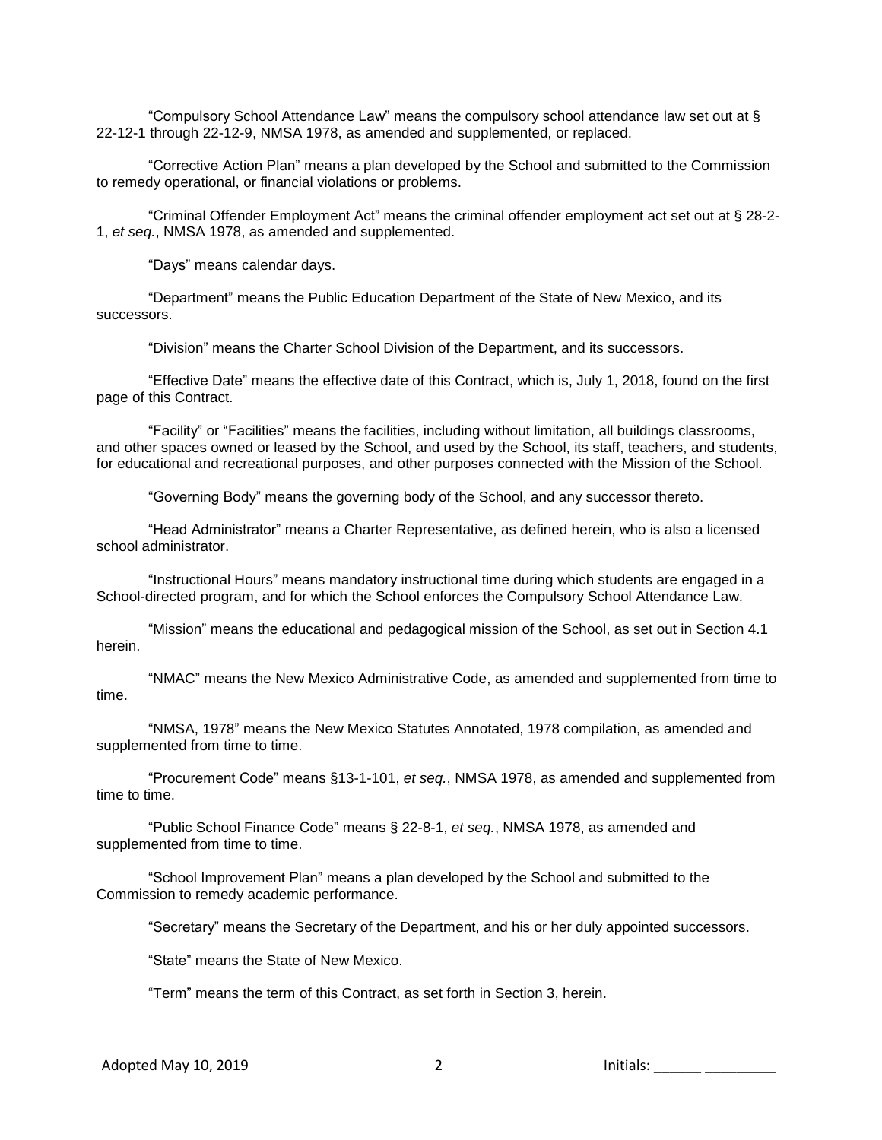"Compulsory School Attendance Law" means the compulsory school attendance law set out at § 22-12-1 through 22-12-9, NMSA 1978, as amended and supplemented, or replaced.

"Corrective Action Plan" means a plan developed by the School and submitted to the Commission to remedy operational, or financial violations or problems.

"Criminal Offender Employment Act" means the criminal offender employment act set out at § 28-2- 1, *et seq.*, NMSA 1978, as amended and supplemented.

"Days" means calendar days.

"Department" means the Public Education Department of the State of New Mexico, and its successors.

"Division" means the Charter School Division of the Department, and its successors.

"Effective Date" means the effective date of this Contract, which is, July 1, 2018, found on the first page of this Contract.

"Facility" or "Facilities" means the facilities, including without limitation, all buildings classrooms, and other spaces owned or leased by the School, and used by the School, its staff, teachers, and students, for educational and recreational purposes, and other purposes connected with the Mission of the School.

"Governing Body" means the governing body of the School, and any successor thereto.

"Head Administrator" means a Charter Representative, as defined herein, who is also a licensed school administrator.

"Instructional Hours" means mandatory instructional time during which students are engaged in a School-directed program, and for which the School enforces the Compulsory School Attendance Law.

"Mission" means the educational and pedagogical mission of the School, as set out in Section 4.1 herein.

"NMAC" means the New Mexico Administrative Code, as amended and supplemented from time to time.

"NMSA, 1978" means the New Mexico Statutes Annotated, 1978 compilation, as amended and supplemented from time to time.

"Procurement Code" means §13-1-101, *et seq.*, NMSA 1978, as amended and supplemented from time to time.

"Public School Finance Code" means § 22-8-1, *et seq.*, NMSA 1978, as amended and supplemented from time to time.

"School Improvement Plan" means a plan developed by the School and submitted to the Commission to remedy academic performance.

"Secretary" means the Secretary of the Department, and his or her duly appointed successors.

"State" means the State of New Mexico.

"Term" means the term of this Contract, as set forth in Section 3, herein.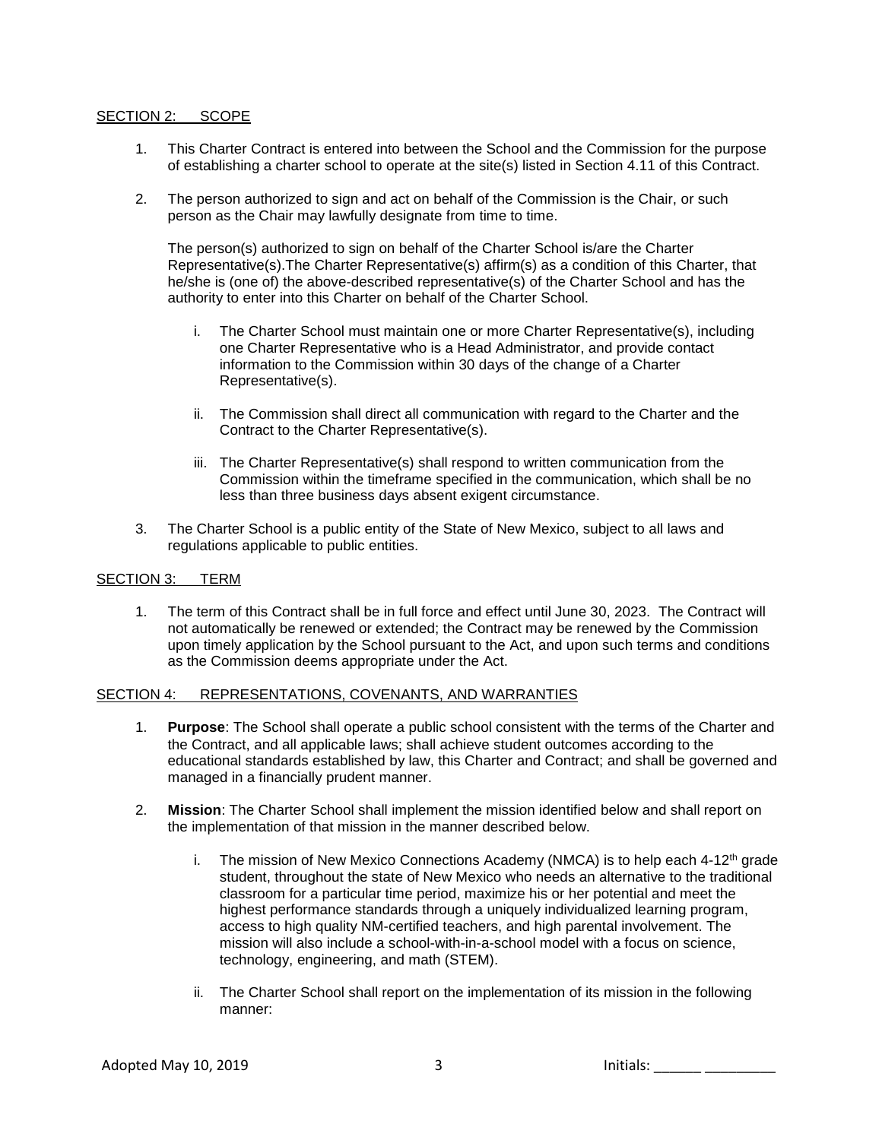### SECTION 2: SCOPE

- 1. This Charter Contract is entered into between the School and the Commission for the purpose of establishing a charter school to operate at the site(s) listed in Section 4.11 of this Contract.
- 2. The person authorized to sign and act on behalf of the Commission is the Chair, or such person as the Chair may lawfully designate from time to time.

The person(s) authorized to sign on behalf of the Charter School is/are the Charter Representative(s).The Charter Representative(s) affirm(s) as a condition of this Charter, that he/she is (one of) the above-described representative(s) of the Charter School and has the authority to enter into this Charter on behalf of the Charter School.

- i. The Charter School must maintain one or more Charter Representative(s), including one Charter Representative who is a Head Administrator, and provide contact information to the Commission within 30 days of the change of a Charter Representative(s).
- ii. The Commission shall direct all communication with regard to the Charter and the Contract to the Charter Representative(s).
- iii. The Charter Representative(s) shall respond to written communication from the Commission within the timeframe specified in the communication, which shall be no less than three business days absent exigent circumstance.
- 3. The Charter School is a public entity of the State of New Mexico, subject to all laws and regulations applicable to public entities.

### SECTION 3: TERM

1. The term of this Contract shall be in full force and effect until June 30, 2023. The Contract will not automatically be renewed or extended; the Contract may be renewed by the Commission upon timely application by the School pursuant to the Act, and upon such terms and conditions as the Commission deems appropriate under the Act.

### SECTION 4: REPRESENTATIONS, COVENANTS, AND WARRANTIES

- 1. **Purpose**: The School shall operate a public school consistent with the terms of the Charter and the Contract, and all applicable laws; shall achieve student outcomes according to the educational standards established by law, this Charter and Contract; and shall be governed and managed in a financially prudent manner.
- 2. **Mission**: The Charter School shall implement the mission identified below and shall report on the implementation of that mission in the manner described below.
	- i. The mission of New Mexico Connections Academy (NMCA) is to help each  $4-12$ <sup>th</sup> grade student, throughout the state of New Mexico who needs an alternative to the traditional classroom for a particular time period, maximize his or her potential and meet the highest performance standards through a uniquely individualized learning program, access to high quality NM-certified teachers, and high parental involvement. The mission will also include a school-with-in-a-school model with a focus on science, technology, engineering, and math (STEM).
	- ii. The Charter School shall report on the implementation of its mission in the following manner: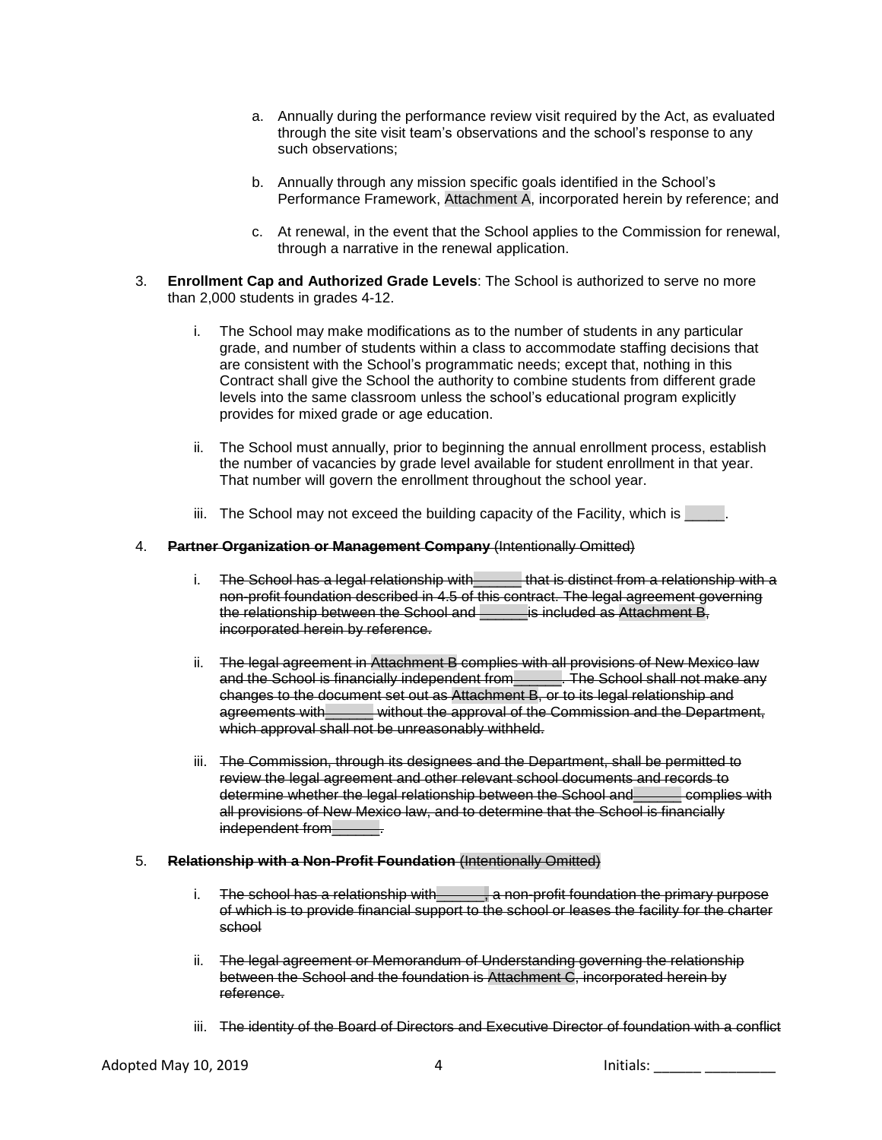- a. Annually during the performance review visit required by the Act, as evaluated through the site visit team's observations and the school's response to any such observations;
- b. Annually through any mission specific goals identified in the School's Performance Framework, Attachment A, incorporated herein by reference; and
- c. At renewal, in the event that the School applies to the Commission for renewal, through a narrative in the renewal application.
- 3. **Enrollment Cap and Authorized Grade Levels**: The School is authorized to serve no more than 2,000 students in grades 4-12.
	- i. The School may make modifications as to the number of students in any particular grade, and number of students within a class to accommodate staffing decisions that are consistent with the School's programmatic needs; except that, nothing in this Contract shall give the School the authority to combine students from different grade levels into the same classroom unless the school's educational program explicitly provides for mixed grade or age education.
	- ii. The School must annually, prior to beginning the annual enrollment process, establish the number of vacancies by grade level available for student enrollment in that year. That number will govern the enrollment throughout the school year.
	- iii. The School may not exceed the building capacity of the Facility, which is \_\_\_\_\_.

#### 4. **Partner Organization or Management Company** (Intentionally Omitted)

- i. The School has a legal relationship with settler that is distinct from a relationship with a non-profit foundation described in 4.5 of this contract. The legal agreement governing the relationship between the School and **Fig. 1** is included as Attachment B, incorporated herein by reference.
- ii. The legal agreement in Attachment B complies with all provisions of New Mexico law and the School is financially independent from\_\_\_\_\_\_. The School shall not make any changes to the document set out as Attachment B, or to its legal relationship and agreements with without the approval of the Commission and the Department, which approval shall not be unreasonably withheld.
- iii. The Commission, through its designees and the Department, shall be permitted to review the legal agreement and other relevant school documents and records to determine whether the legal relationship between the School and\_\_\_\_\_\_ complies with all provisions of New Mexico law, and to determine that the School is financially independent from Fig.

#### 5. **Relationship with a Non-Profit Foundation** (Intentionally Omitted)

- i. The school has a relationship with\_\_\_\_\_, a non-profit foundation the primary purpose of which is to provide financial support to the school or leases the facility for the charter school
- ii. The legal agreement or Memorandum of Understanding governing the relationship between the School and the foundation is Attachment C, incorporated herein by reference.
- iii. The identity of the Board of Directors and Executive Director of foundation with a conflict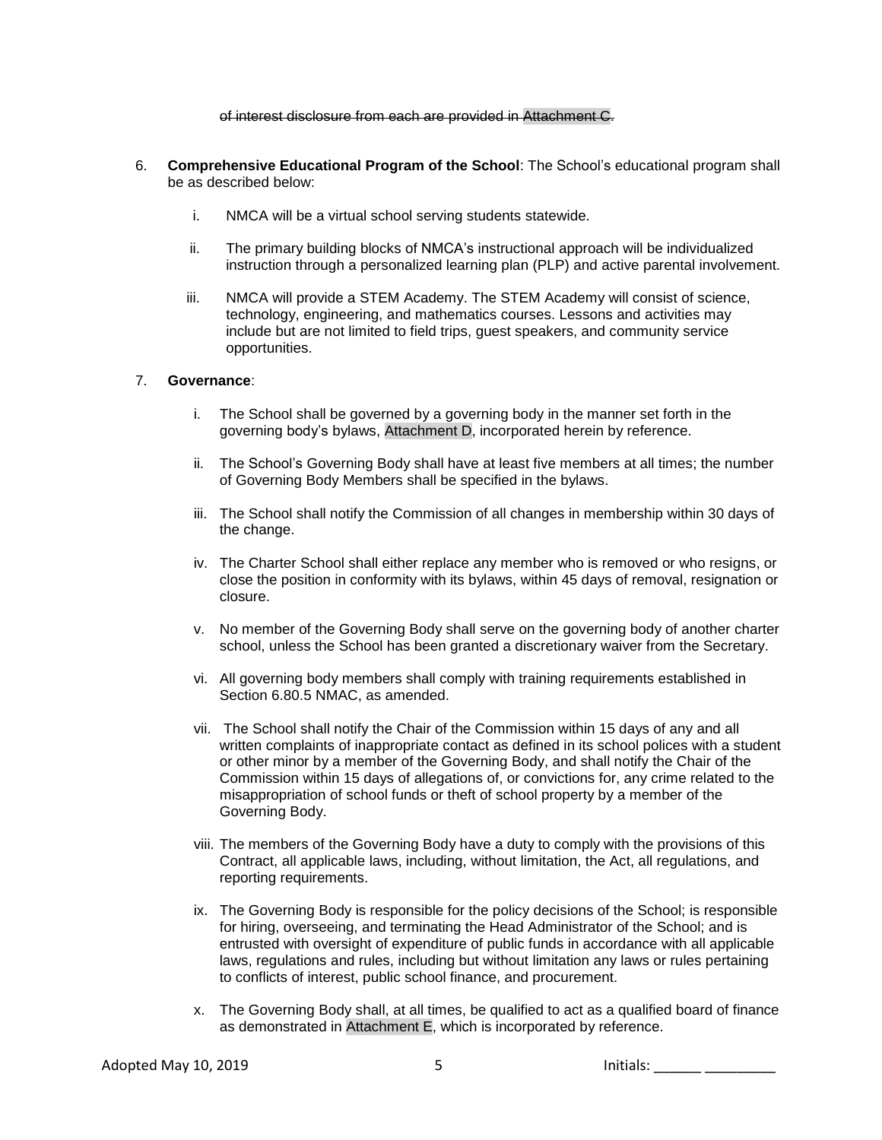of interest disclosure from each are provided in Attachment C.

- 6. **Comprehensive Educational Program of the School**: The School's educational program shall be as described below:
	- i. NMCA will be a virtual school serving students statewide.
	- ii. The primary building blocks of NMCA's instructional approach will be individualized instruction through a personalized learning plan (PLP) and active parental involvement.
	- iii. NMCA will provide a STEM Academy. The STEM Academy will consist of science, technology, engineering, and mathematics courses. Lessons and activities may include but are not limited to field trips, guest speakers, and community service opportunities.

#### 7. **Governance**:

- i. The School shall be governed by a governing body in the manner set forth in the governing body's bylaws, Attachment D, incorporated herein by reference.
- ii. The School's Governing Body shall have at least five members at all times; the number of Governing Body Members shall be specified in the bylaws.
- iii. The School shall notify the Commission of all changes in membership within 30 days of the change.
- iv. The Charter School shall either replace any member who is removed or who resigns, or close the position in conformity with its bylaws, within 45 days of removal, resignation or closure.
- v. No member of the Governing Body shall serve on the governing body of another charter school, unless the School has been granted a discretionary waiver from the Secretary.
- vi. All governing body members shall comply with training requirements established in Section 6.80.5 NMAC, as amended.
- vii. The School shall notify the Chair of the Commission within 15 days of any and all written complaints of inappropriate contact as defined in its school polices with a student or other minor by a member of the Governing Body, and shall notify the Chair of the Commission within 15 days of allegations of, or convictions for, any crime related to the misappropriation of school funds or theft of school property by a member of the Governing Body.
- viii. The members of the Governing Body have a duty to comply with the provisions of this Contract, all applicable laws, including, without limitation, the Act, all regulations, and reporting requirements.
- ix. The Governing Body is responsible for the policy decisions of the School; is responsible for hiring, overseeing, and terminating the Head Administrator of the School; and is entrusted with oversight of expenditure of public funds in accordance with all applicable laws, regulations and rules, including but without limitation any laws or rules pertaining to conflicts of interest, public school finance, and procurement.
- x. The Governing Body shall, at all times, be qualified to act as a qualified board of finance as demonstrated in Attachment E, which is incorporated by reference.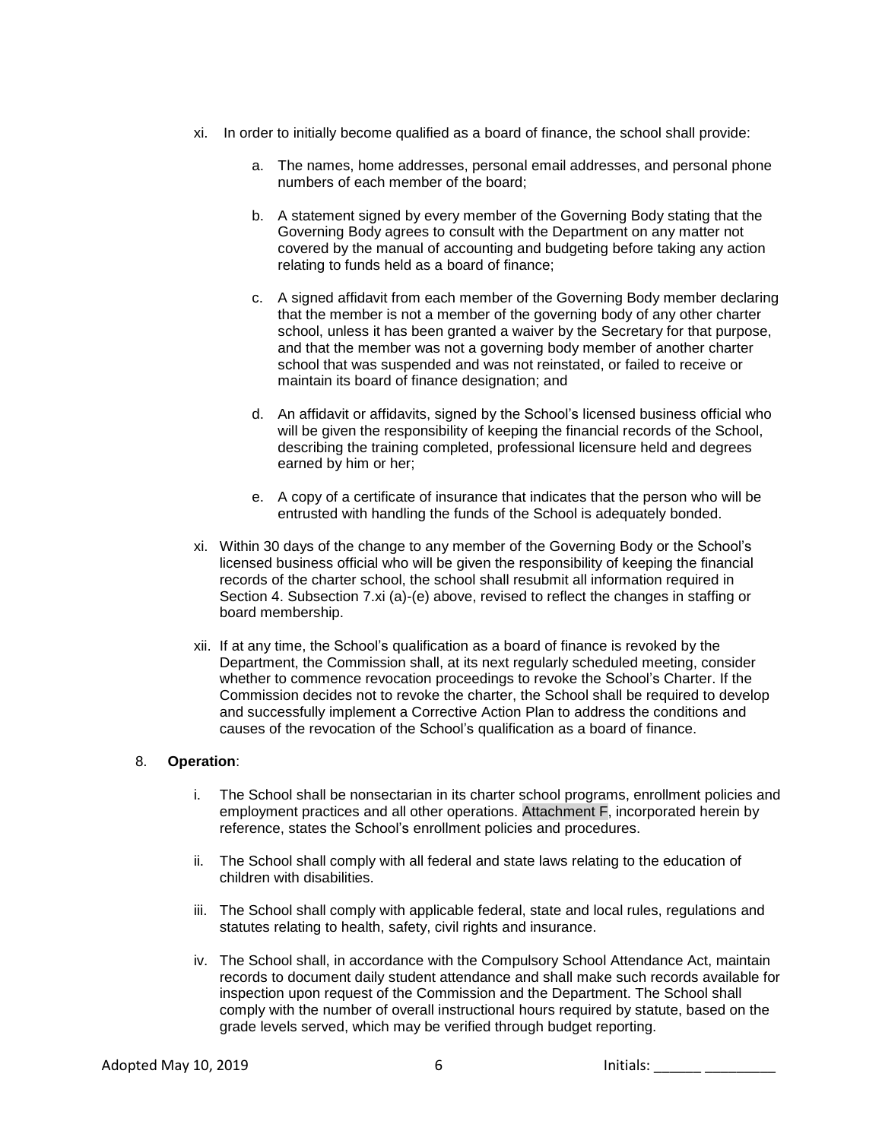- xi. In order to initially become qualified as a board of finance, the school shall provide:
	- a. The names, home addresses, personal email addresses, and personal phone numbers of each member of the board;
	- b. A statement signed by every member of the Governing Body stating that the Governing Body agrees to consult with the Department on any matter not covered by the manual of accounting and budgeting before taking any action relating to funds held as a board of finance;
	- c. A signed affidavit from each member of the Governing Body member declaring that the member is not a member of the governing body of any other charter school, unless it has been granted a waiver by the Secretary for that purpose, and that the member was not a governing body member of another charter school that was suspended and was not reinstated, or failed to receive or maintain its board of finance designation; and
	- d. An affidavit or affidavits, signed by the School's licensed business official who will be given the responsibility of keeping the financial records of the School, describing the training completed, professional licensure held and degrees earned by him or her;
	- e. A copy of a certificate of insurance that indicates that the person who will be entrusted with handling the funds of the School is adequately bonded.
- xi. Within 30 days of the change to any member of the Governing Body or the School's licensed business official who will be given the responsibility of keeping the financial records of the charter school, the school shall resubmit all information required in Section 4. Subsection 7.xi (a)-(e) above, revised to reflect the changes in staffing or board membership.
- xii. If at any time, the School's qualification as a board of finance is revoked by the Department, the Commission shall, at its next regularly scheduled meeting, consider whether to commence revocation proceedings to revoke the School's Charter. If the Commission decides not to revoke the charter, the School shall be required to develop and successfully implement a Corrective Action Plan to address the conditions and causes of the revocation of the School's qualification as a board of finance.

### 8. **Operation**:

- i. The School shall be nonsectarian in its charter school programs, enrollment policies and employment practices and all other operations. Attachment F, incorporated herein by reference, states the School's enrollment policies and procedures.
- ii. The School shall comply with all federal and state laws relating to the education of children with disabilities.
- iii. The School shall comply with applicable federal, state and local rules, regulations and statutes relating to health, safety, civil rights and insurance.
- iv. The School shall, in accordance with the Compulsory School Attendance Act, maintain records to document daily student attendance and shall make such records available for inspection upon request of the Commission and the Department. The School shall comply with the number of overall instructional hours required by statute, based on the grade levels served, which may be verified through budget reporting.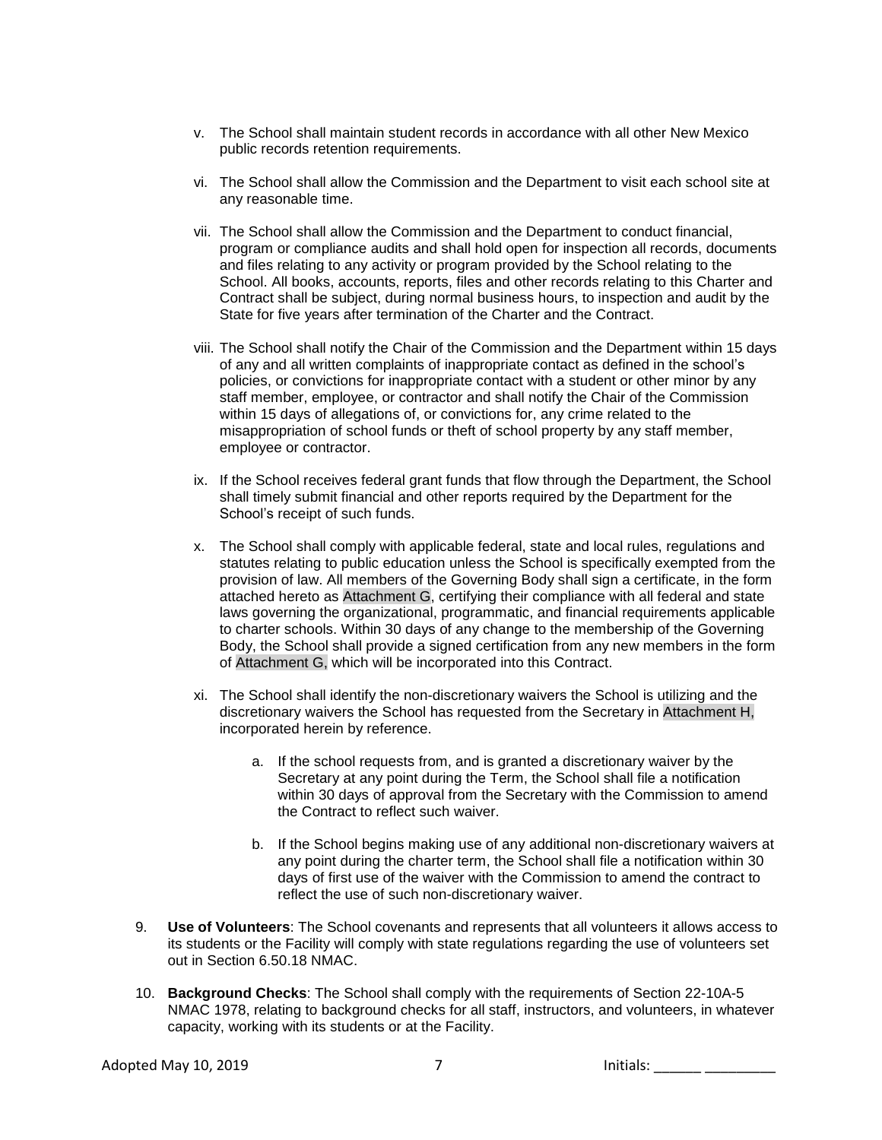- v. The School shall maintain student records in accordance with all other New Mexico public records retention requirements.
- vi. The School shall allow the Commission and the Department to visit each school site at any reasonable time.
- vii. The School shall allow the Commission and the Department to conduct financial, program or compliance audits and shall hold open for inspection all records, documents and files relating to any activity or program provided by the School relating to the School. All books, accounts, reports, files and other records relating to this Charter and Contract shall be subject, during normal business hours, to inspection and audit by the State for five years after termination of the Charter and the Contract.
- viii. The School shall notify the Chair of the Commission and the Department within 15 days of any and all written complaints of inappropriate contact as defined in the school's policies, or convictions for inappropriate contact with a student or other minor by any staff member, employee, or contractor and shall notify the Chair of the Commission within 15 days of allegations of, or convictions for, any crime related to the misappropriation of school funds or theft of school property by any staff member, employee or contractor.
- ix. If the School receives federal grant funds that flow through the Department, the School shall timely submit financial and other reports required by the Department for the School's receipt of such funds.
- x. The School shall comply with applicable federal, state and local rules, regulations and statutes relating to public education unless the School is specifically exempted from the provision of law. All members of the Governing Body shall sign a certificate, in the form attached hereto as Attachment G, certifying their compliance with all federal and state laws governing the organizational, programmatic, and financial requirements applicable to charter schools. Within 30 days of any change to the membership of the Governing Body, the School shall provide a signed certification from any new members in the form of Attachment G, which will be incorporated into this Contract.
- xi. The School shall identify the non-discretionary waivers the School is utilizing and the discretionary waivers the School has requested from the Secretary in Attachment H, incorporated herein by reference.
	- a. If the school requests from, and is granted a discretionary waiver by the Secretary at any point during the Term, the School shall file a notification within 30 days of approval from the Secretary with the Commission to amend the Contract to reflect such waiver.
	- b. If the School begins making use of any additional non-discretionary waivers at any point during the charter term, the School shall file a notification within 30 days of first use of the waiver with the Commission to amend the contract to reflect the use of such non-discretionary waiver.
- 9. **Use of Volunteers**: The School covenants and represents that all volunteers it allows access to its students or the Facility will comply with state regulations regarding the use of volunteers set out in Section 6.50.18 NMAC.
- 10. **Background Checks**: The School shall comply with the requirements of Section 22-10A-5 NMAC 1978, relating to background checks for all staff, instructors, and volunteers, in whatever capacity, working with its students or at the Facility.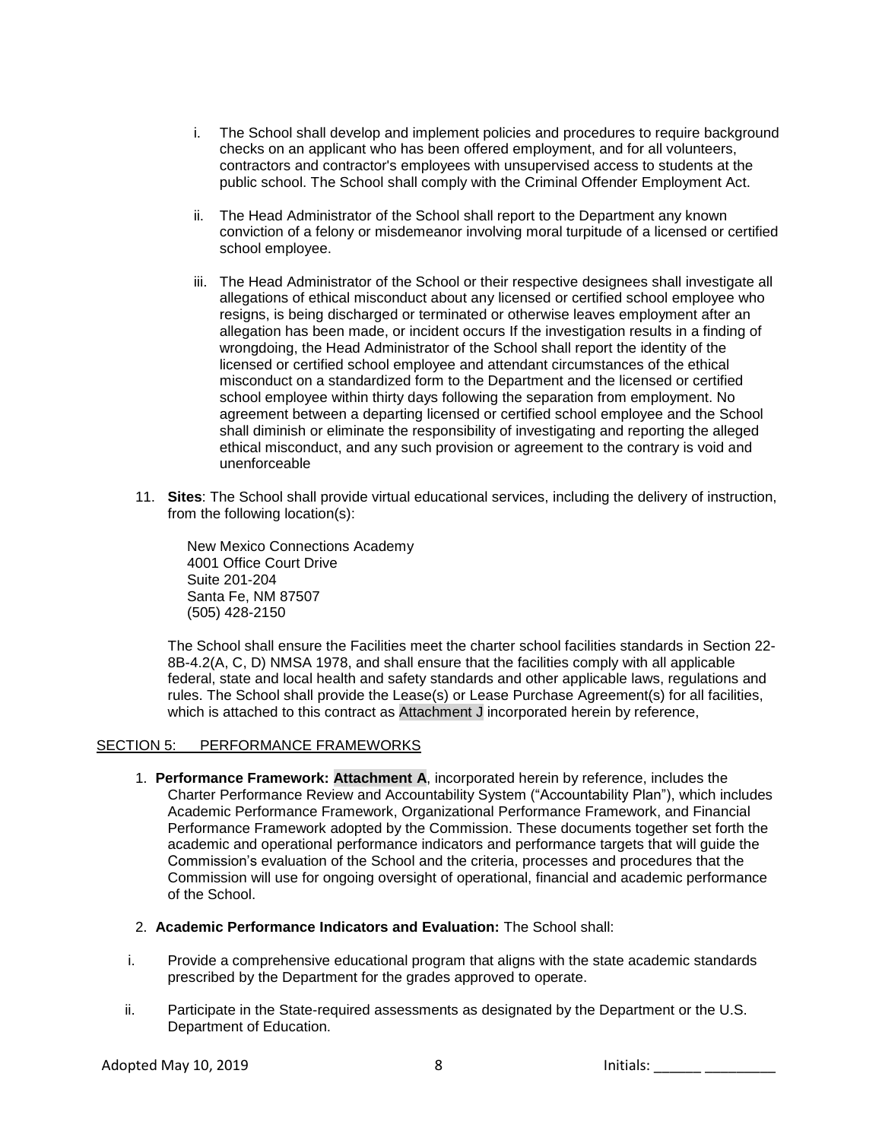- i. The School shall develop and implement policies and procedures to require background checks on an applicant who has been offered employment, and for all volunteers, contractors and contractor's employees with unsupervised access to students at the public school. The School shall comply with the Criminal Offender Employment Act.
- ii. The Head Administrator of the School shall report to the Department any known conviction of a felony or misdemeanor involving moral turpitude of a licensed or certified school employee.
- iii. The Head Administrator of the School or their respective designees shall investigate all allegations of ethical misconduct about any licensed or certified school employee who resigns, is being discharged or terminated or otherwise leaves employment after an allegation has been made, or incident occurs If the investigation results in a finding of wrongdoing, the Head Administrator of the School shall report the identity of the licensed or certified school employee and attendant circumstances of the ethical misconduct on a standardized form to the Department and the licensed or certified school employee within thirty days following the separation from employment. No agreement between a departing licensed or certified school employee and the School shall diminish or eliminate the responsibility of investigating and reporting the alleged ethical misconduct, and any such provision or agreement to the contrary is void and unenforceable
- 11. **Sites**: The School shall provide virtual educational services, including the delivery of instruction, from the following location(s):

New Mexico Connections Academy 4001 Office Court Drive Suite 201-204 Santa Fe, NM 87507 (505) 428-2150

The School shall ensure the Facilities meet the charter school facilities standards in Section 22- 8B-4.2(A, C, D) NMSA 1978, and shall ensure that the facilities comply with all applicable federal, state and local health and safety standards and other applicable laws, regulations and rules. The School shall provide the Lease(s) or Lease Purchase Agreement(s) for all facilities, which is attached to this contract as Attachment J incorporated herein by reference,

### SECTION 5: PERFORMANCE FRAMEWORKS

- 1. **Performance Framework: Attachment A**, incorporated herein by reference, includes the Charter Performance Review and Accountability System ("Accountability Plan"), which includes Academic Performance Framework, Organizational Performance Framework, and Financial Performance Framework adopted by the Commission. These documents together set forth the academic and operational performance indicators and performance targets that will guide the Commission's evaluation of the School and the criteria, processes and procedures that the Commission will use for ongoing oversight of operational, financial and academic performance of the School.
- 2. **Academic Performance Indicators and Evaluation:** The School shall:
- i. Provide a comprehensive educational program that aligns with the state academic standards prescribed by the Department for the grades approved to operate.
- ii. Participate in the State-required assessments as designated by the Department or the U.S. Department of Education.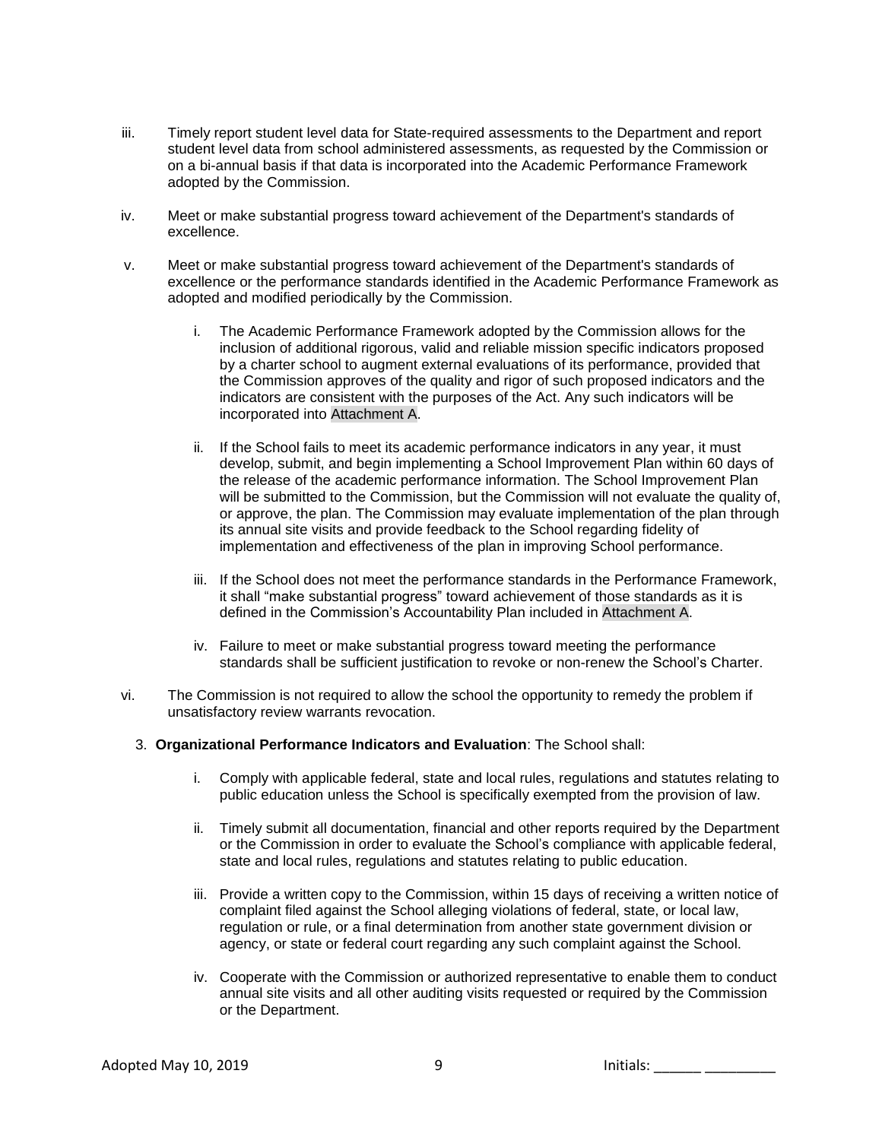- iii. Timely report student level data for State-required assessments to the Department and report student level data from school administered assessments, as requested by the Commission or on a bi-annual basis if that data is incorporated into the Academic Performance Framework adopted by the Commission.
- iv. Meet or make substantial progress toward achievement of the Department's standards of excellence.
- v. Meet or make substantial progress toward achievement of the Department's standards of excellence or the performance standards identified in the Academic Performance Framework as adopted and modified periodically by the Commission.
	- i. The Academic Performance Framework adopted by the Commission allows for the inclusion of additional rigorous, valid and reliable mission specific indicators proposed by a charter school to augment external evaluations of its performance, provided that the Commission approves of the quality and rigor of such proposed indicators and the indicators are consistent with the purposes of the Act. Any such indicators will be incorporated into Attachment A.
	- ii. If the School fails to meet its academic performance indicators in any year, it must develop, submit, and begin implementing a School Improvement Plan within 60 days of the release of the academic performance information. The School Improvement Plan will be submitted to the Commission, but the Commission will not evaluate the quality of, or approve, the plan. The Commission may evaluate implementation of the plan through its annual site visits and provide feedback to the School regarding fidelity of implementation and effectiveness of the plan in improving School performance.
	- iii. If the School does not meet the performance standards in the Performance Framework, it shall "make substantial progress" toward achievement of those standards as it is defined in the Commission's Accountability Plan included in Attachment A.
	- iv. Failure to meet or make substantial progress toward meeting the performance standards shall be sufficient justification to revoke or non-renew the School's Charter.
- vi. The Commission is not required to allow the school the opportunity to remedy the problem if unsatisfactory review warrants revocation.
	- 3. **Organizational Performance Indicators and Evaluation**: The School shall:
		- i. Comply with applicable federal, state and local rules, regulations and statutes relating to public education unless the School is specifically exempted from the provision of law.
		- ii. Timely submit all documentation, financial and other reports required by the Department or the Commission in order to evaluate the School's compliance with applicable federal, state and local rules, regulations and statutes relating to public education.
		- iii. Provide a written copy to the Commission, within 15 days of receiving a written notice of complaint filed against the School alleging violations of federal, state, or local law, regulation or rule, or a final determination from another state government division or agency, or state or federal court regarding any such complaint against the School.
		- iv. Cooperate with the Commission or authorized representative to enable them to conduct annual site visits and all other auditing visits requested or required by the Commission or the Department.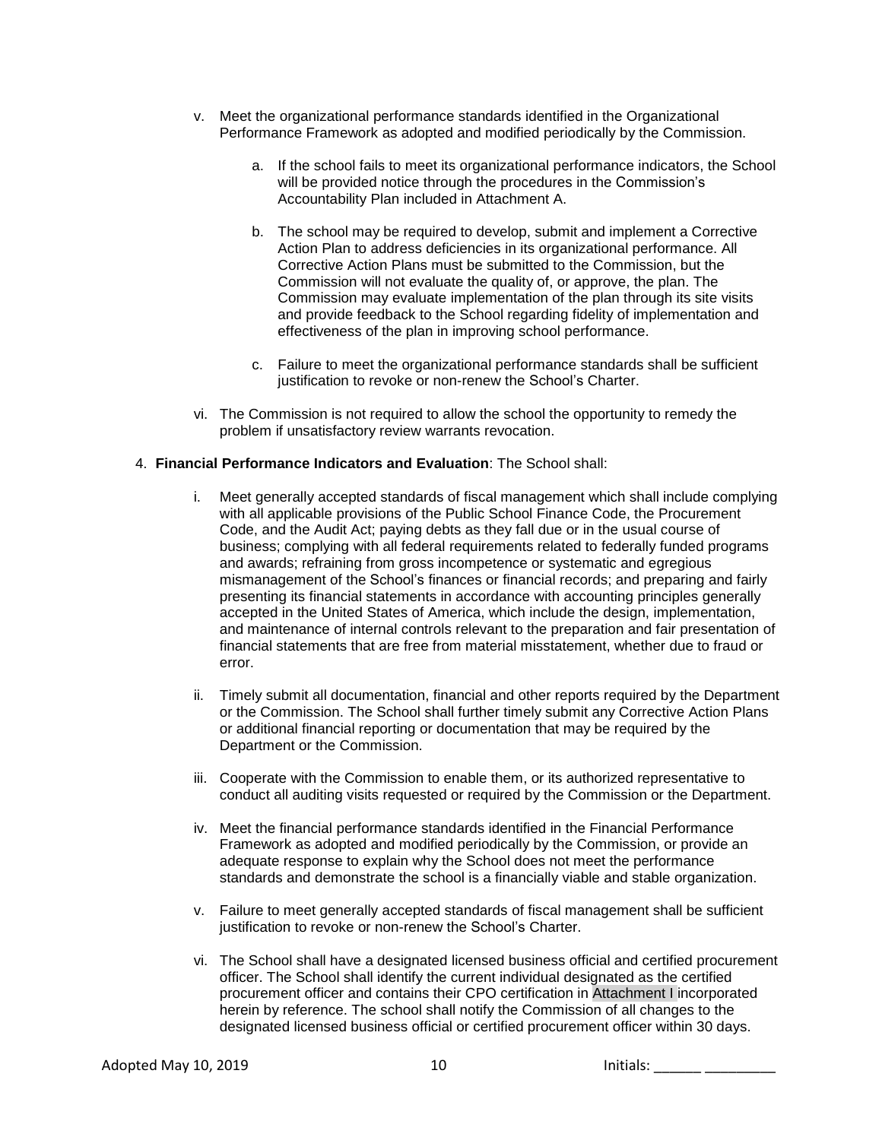- v. Meet the organizational performance standards identified in the Organizational Performance Framework as adopted and modified periodically by the Commission.
	- a. If the school fails to meet its organizational performance indicators, the School will be provided notice through the procedures in the Commission's Accountability Plan included in Attachment A.
	- b. The school may be required to develop, submit and implement a Corrective Action Plan to address deficiencies in its organizational performance. All Corrective Action Plans must be submitted to the Commission, but the Commission will not evaluate the quality of, or approve, the plan. The Commission may evaluate implementation of the plan through its site visits and provide feedback to the School regarding fidelity of implementation and effectiveness of the plan in improving school performance.
	- c. Failure to meet the organizational performance standards shall be sufficient justification to revoke or non-renew the School's Charter.
- vi. The Commission is not required to allow the school the opportunity to remedy the problem if unsatisfactory review warrants revocation.

#### 4. **Financial Performance Indicators and Evaluation**: The School shall:

- i. Meet generally accepted standards of fiscal management which shall include complying with all applicable provisions of the Public School Finance Code, the Procurement Code, and the Audit Act; paying debts as they fall due or in the usual course of business; complying with all federal requirements related to federally funded programs and awards; refraining from gross incompetence or systematic and egregious mismanagement of the School's finances or financial records; and preparing and fairly presenting its financial statements in accordance with accounting principles generally accepted in the United States of America, which include the design, implementation, and maintenance of internal controls relevant to the preparation and fair presentation of financial statements that are free from material misstatement, whether due to fraud or error.
- ii. Timely submit all documentation, financial and other reports required by the Department or the Commission. The School shall further timely submit any Corrective Action Plans or additional financial reporting or documentation that may be required by the Department or the Commission.
- iii. Cooperate with the Commission to enable them, or its authorized representative to conduct all auditing visits requested or required by the Commission or the Department.
- iv. Meet the financial performance standards identified in the Financial Performance Framework as adopted and modified periodically by the Commission, or provide an adequate response to explain why the School does not meet the performance standards and demonstrate the school is a financially viable and stable organization.
- v. Failure to meet generally accepted standards of fiscal management shall be sufficient justification to revoke or non-renew the School's Charter.
- vi. The School shall have a designated licensed business official and certified procurement officer. The School shall identify the current individual designated as the certified procurement officer and contains their CPO certification in Attachment I incorporated herein by reference. The school shall notify the Commission of all changes to the designated licensed business official or certified procurement officer within 30 days.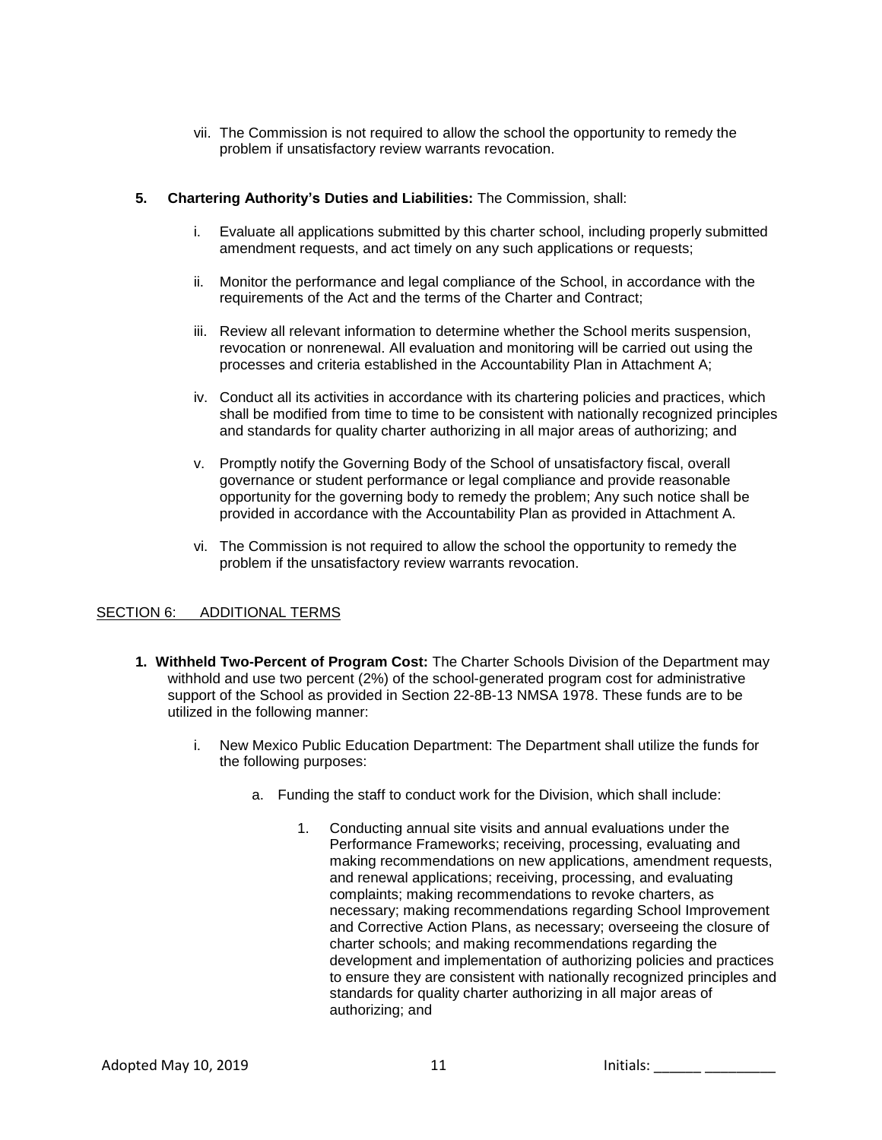vii. The Commission is not required to allow the school the opportunity to remedy the problem if unsatisfactory review warrants revocation.

## **5. Chartering Authority's Duties and Liabilities:** The Commission, shall:

- i. Evaluate all applications submitted by this charter school, including properly submitted amendment requests, and act timely on any such applications or requests;
- ii. Monitor the performance and legal compliance of the School, in accordance with the requirements of the Act and the terms of the Charter and Contract;
- iii. Review all relevant information to determine whether the School merits suspension, revocation or nonrenewal. All evaluation and monitoring will be carried out using the processes and criteria established in the Accountability Plan in Attachment A;
- iv. Conduct all its activities in accordance with its chartering policies and practices, which shall be modified from time to time to be consistent with nationally recognized principles and standards for quality charter authorizing in all major areas of authorizing; and
- v. Promptly notify the Governing Body of the School of unsatisfactory fiscal, overall governance or student performance or legal compliance and provide reasonable opportunity for the governing body to remedy the problem; Any such notice shall be provided in accordance with the Accountability Plan as provided in Attachment A.
- vi. The Commission is not required to allow the school the opportunity to remedy the problem if the unsatisfactory review warrants revocation.

# SECTION 6: ADDITIONAL TERMS

- **1. Withheld Two-Percent of Program Cost:** The Charter Schools Division of the Department may withhold and use two percent (2%) of the school-generated program cost for administrative support of the School as provided in Section 22-8B-13 NMSA 1978. These funds are to be utilized in the following manner:
	- i. New Mexico Public Education Department: The Department shall utilize the funds for the following purposes:
		- a. Funding the staff to conduct work for the Division, which shall include:
			- 1. Conducting annual site visits and annual evaluations under the Performance Frameworks; receiving, processing, evaluating and making recommendations on new applications, amendment requests, and renewal applications; receiving, processing, and evaluating complaints; making recommendations to revoke charters, as necessary; making recommendations regarding School Improvement and Corrective Action Plans, as necessary; overseeing the closure of charter schools; and making recommendations regarding the development and implementation of authorizing policies and practices to ensure they are consistent with nationally recognized principles and standards for quality charter authorizing in all major areas of authorizing; and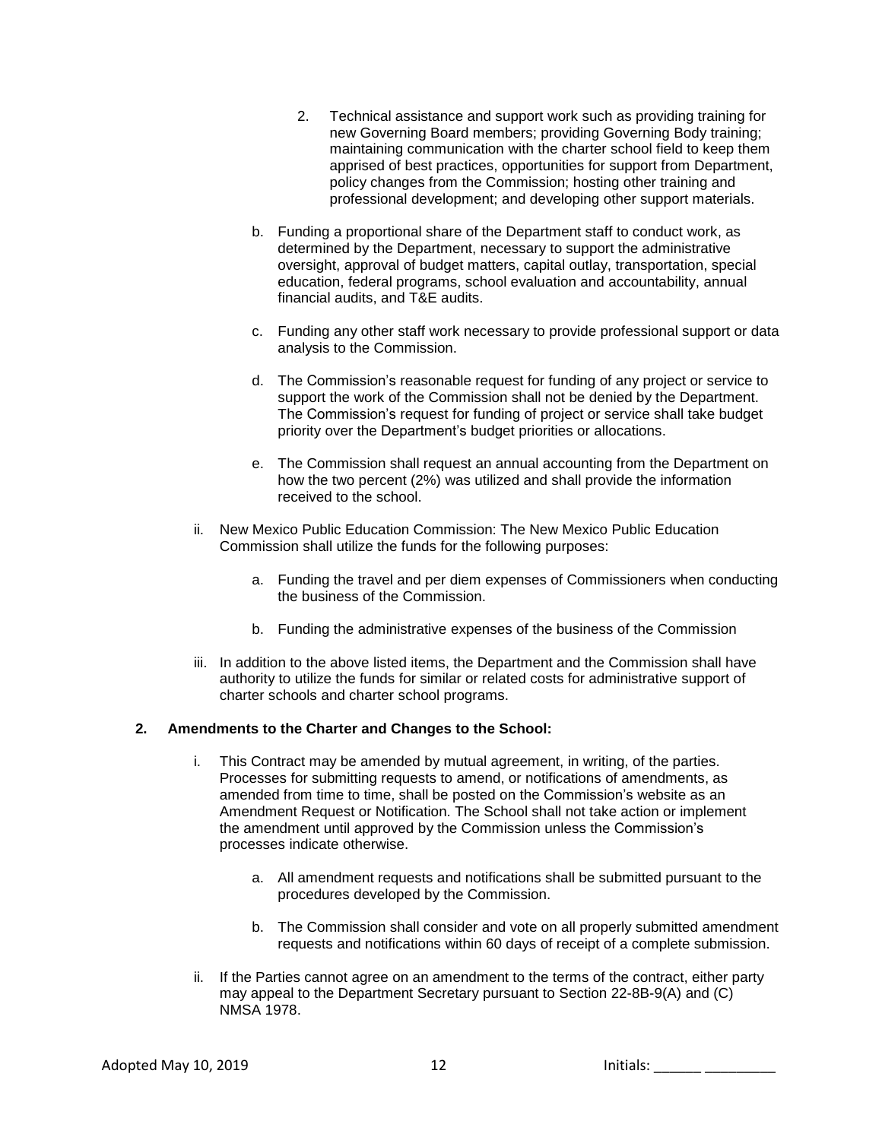- 2. Technical assistance and support work such as providing training for new Governing Board members; providing Governing Body training; maintaining communication with the charter school field to keep them apprised of best practices, opportunities for support from Department, policy changes from the Commission; hosting other training and professional development; and developing other support materials.
- b. Funding a proportional share of the Department staff to conduct work, as determined by the Department, necessary to support the administrative oversight, approval of budget matters, capital outlay, transportation, special education, federal programs, school evaluation and accountability, annual financial audits, and T&E audits.
- c. Funding any other staff work necessary to provide professional support or data analysis to the Commission.
- d. The Commission's reasonable request for funding of any project or service to support the work of the Commission shall not be denied by the Department. The Commission's request for funding of project or service shall take budget priority over the Department's budget priorities or allocations.
- e. The Commission shall request an annual accounting from the Department on how the two percent (2%) was utilized and shall provide the information received to the school.
- ii. New Mexico Public Education Commission: The New Mexico Public Education Commission shall utilize the funds for the following purposes:
	- a. Funding the travel and per diem expenses of Commissioners when conducting the business of the Commission.
	- b. Funding the administrative expenses of the business of the Commission
- iii. In addition to the above listed items, the Department and the Commission shall have authority to utilize the funds for similar or related costs for administrative support of charter schools and charter school programs.

### **2. Amendments to the Charter and Changes to the School:**

- i. This Contract may be amended by mutual agreement, in writing, of the parties. Processes for submitting requests to amend, or notifications of amendments, as amended from time to time, shall be posted on the Commission's website as an Amendment Request or Notification. The School shall not take action or implement the amendment until approved by the Commission unless the Commission's processes indicate otherwise.
	- a. All amendment requests and notifications shall be submitted pursuant to the procedures developed by the Commission.
	- b. The Commission shall consider and vote on all properly submitted amendment requests and notifications within 60 days of receipt of a complete submission.
- ii. If the Parties cannot agree on an amendment to the terms of the contract, either party may appeal to the Department Secretary pursuant to Section 22-8B-9(A) and (C) NMSA 1978.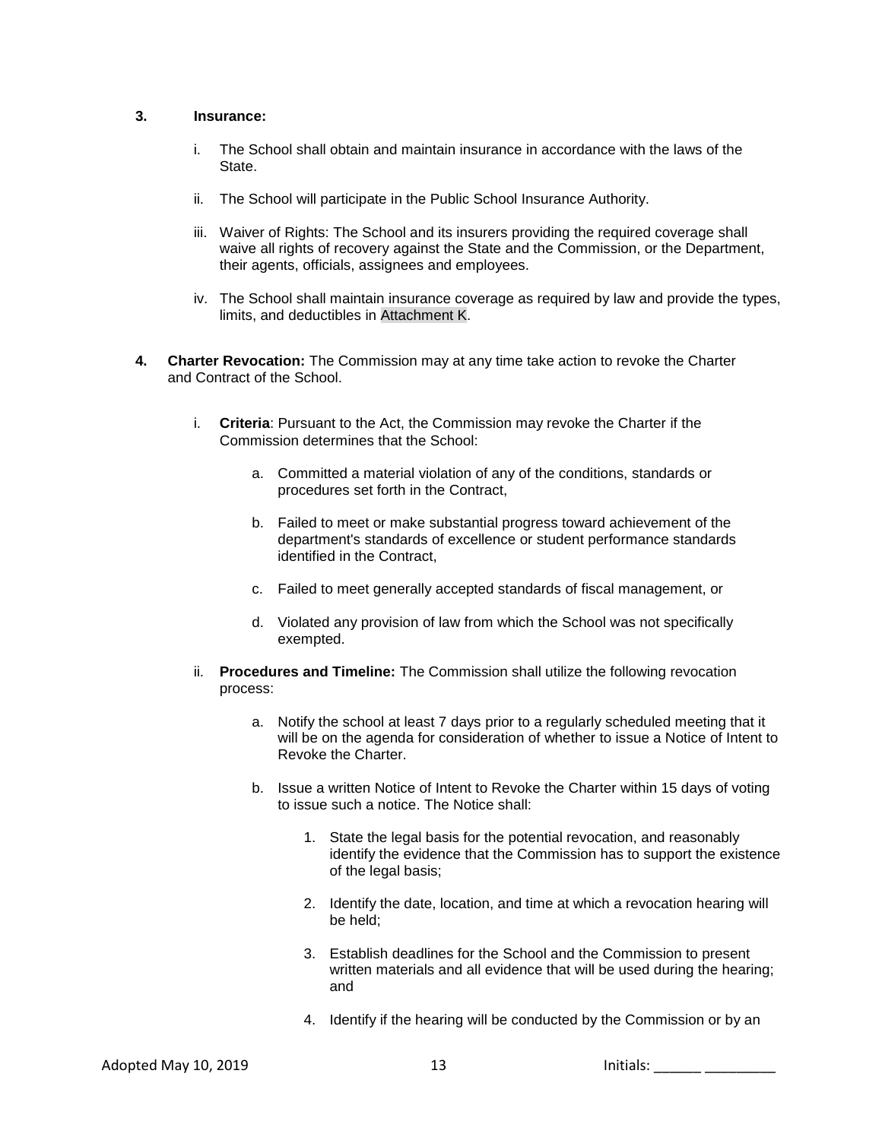### **3. Insurance:**

- i. The School shall obtain and maintain insurance in accordance with the laws of the State.
- ii. The School will participate in the Public School Insurance Authority.
- iii. Waiver of Rights: The School and its insurers providing the required coverage shall waive all rights of recovery against the State and the Commission, or the Department, their agents, officials, assignees and employees.
- iv. The School shall maintain insurance coverage as required by law and provide the types, limits, and deductibles in Attachment K.
- **4. Charter Revocation:** The Commission may at any time take action to revoke the Charter and Contract of the School.
	- i. **Criteria**: Pursuant to the Act, the Commission may revoke the Charter if the Commission determines that the School:
		- a. Committed a material violation of any of the conditions, standards or procedures set forth in the Contract,
		- b. Failed to meet or make substantial progress toward achievement of the department's standards of excellence or student performance standards identified in the Contract,
		- c. Failed to meet generally accepted standards of fiscal management, or
		- d. Violated any provision of law from which the School was not specifically exempted.
	- ii. **Procedures and Timeline:** The Commission shall utilize the following revocation process:
		- a. Notify the school at least 7 days prior to a regularly scheduled meeting that it will be on the agenda for consideration of whether to issue a Notice of Intent to Revoke the Charter.
		- b. Issue a written Notice of Intent to Revoke the Charter within 15 days of voting to issue such a notice. The Notice shall:
			- 1. State the legal basis for the potential revocation, and reasonably identify the evidence that the Commission has to support the existence of the legal basis;
			- 2. Identify the date, location, and time at which a revocation hearing will be held;
			- 3. Establish deadlines for the School and the Commission to present written materials and all evidence that will be used during the hearing; and
			- 4. Identify if the hearing will be conducted by the Commission or by an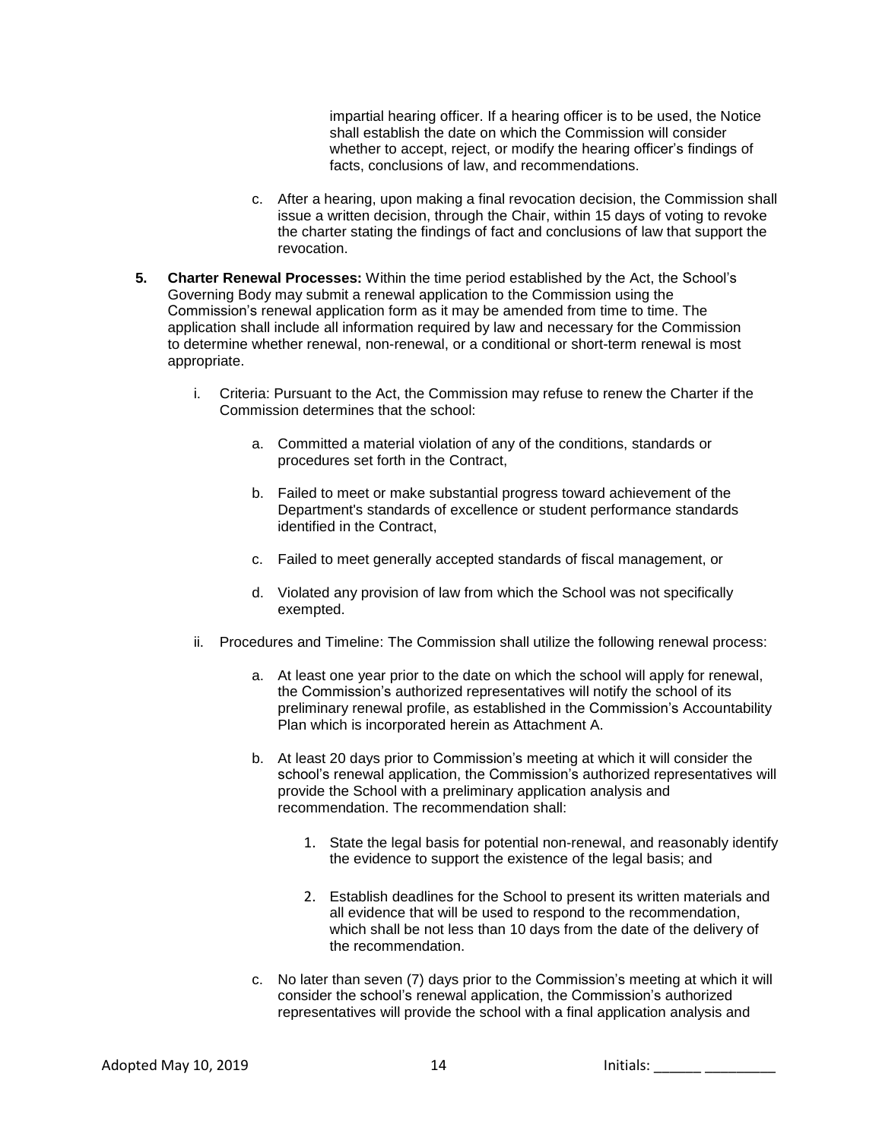impartial hearing officer. If a hearing officer is to be used, the Notice shall establish the date on which the Commission will consider whether to accept, reject, or modify the hearing officer's findings of facts, conclusions of law, and recommendations.

- c. After a hearing, upon making a final revocation decision, the Commission shall issue a written decision, through the Chair, within 15 days of voting to revoke the charter stating the findings of fact and conclusions of law that support the revocation.
- **5. Charter Renewal Processes:** Within the time period established by the Act, the School's Governing Body may submit a renewal application to the Commission using the Commission's renewal application form as it may be amended from time to time. The application shall include all information required by law and necessary for the Commission to determine whether renewal, non-renewal, or a conditional or short-term renewal is most appropriate.
	- i. Criteria: Pursuant to the Act, the Commission may refuse to renew the Charter if the Commission determines that the school:
		- a. Committed a material violation of any of the conditions, standards or procedures set forth in the Contract,
		- b. Failed to meet or make substantial progress toward achievement of the Department's standards of excellence or student performance standards identified in the Contract,
		- c. Failed to meet generally accepted standards of fiscal management, or
		- d. Violated any provision of law from which the School was not specifically exempted.
	- ii. Procedures and Timeline: The Commission shall utilize the following renewal process:
		- a. At least one year prior to the date on which the school will apply for renewal, the Commission's authorized representatives will notify the school of its preliminary renewal profile, as established in the Commission's Accountability Plan which is incorporated herein as Attachment A.
		- b. At least 20 days prior to Commission's meeting at which it will consider the school's renewal application, the Commission's authorized representatives will provide the School with a preliminary application analysis and recommendation. The recommendation shall:
			- 1. State the legal basis for potential non-renewal, and reasonably identify the evidence to support the existence of the legal basis; and
			- 2. Establish deadlines for the School to present its written materials and all evidence that will be used to respond to the recommendation, which shall be not less than 10 days from the date of the delivery of the recommendation.
		- c. No later than seven (7) days prior to the Commission's meeting at which it will consider the school's renewal application, the Commission's authorized representatives will provide the school with a final application analysis and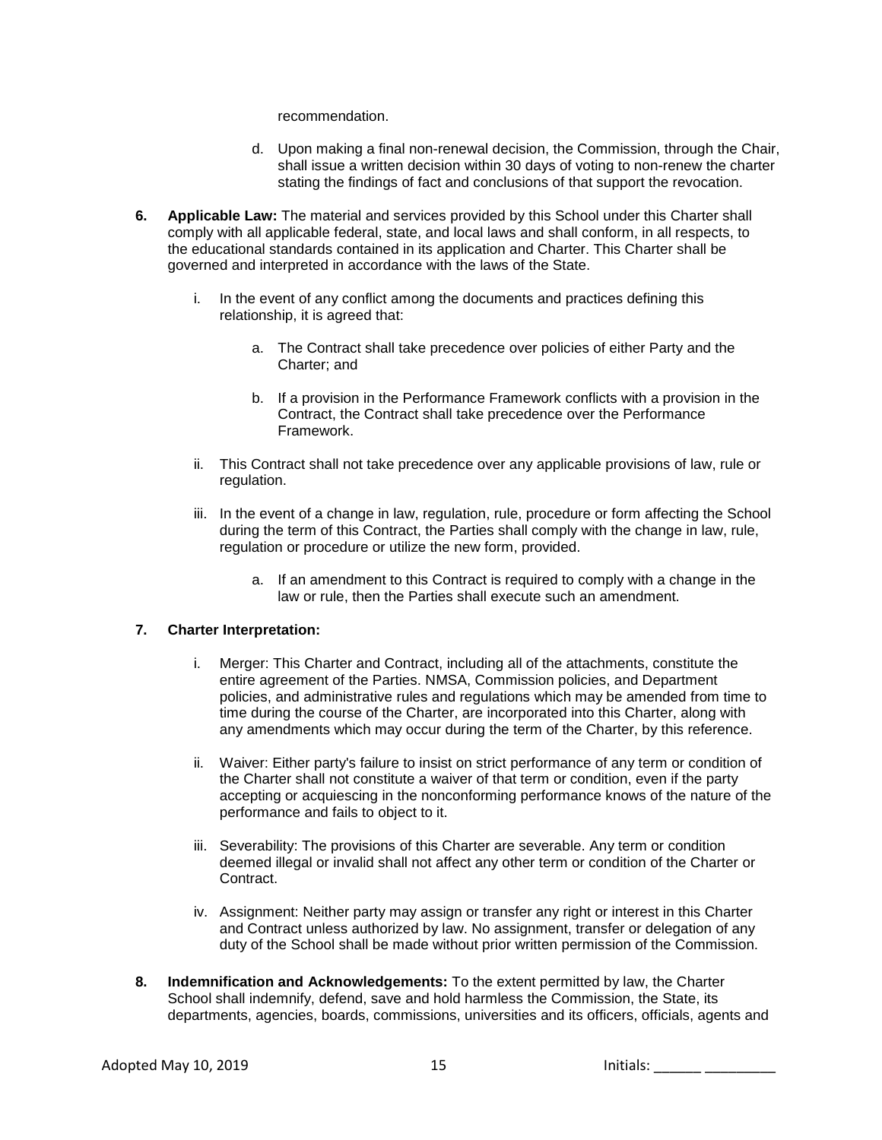recommendation.

- d. Upon making a final non-renewal decision, the Commission, through the Chair, shall issue a written decision within 30 days of voting to non-renew the charter stating the findings of fact and conclusions of that support the revocation.
- **6. Applicable Law:** The material and services provided by this School under this Charter shall comply with all applicable federal, state, and local laws and shall conform, in all respects, to the educational standards contained in its application and Charter. This Charter shall be governed and interpreted in accordance with the laws of the State.
	- i. In the event of any conflict among the documents and practices defining this relationship, it is agreed that:
		- a. The Contract shall take precedence over policies of either Party and the Charter; and
		- b. If a provision in the Performance Framework conflicts with a provision in the Contract, the Contract shall take precedence over the Performance Framework.
	- ii. This Contract shall not take precedence over any applicable provisions of law, rule or regulation.
	- iii. In the event of a change in law, regulation, rule, procedure or form affecting the School during the term of this Contract, the Parties shall comply with the change in law, rule, regulation or procedure or utilize the new form, provided.
		- a. If an amendment to this Contract is required to comply with a change in the law or rule, then the Parties shall execute such an amendment.

# **7. Charter Interpretation:**

- i. Merger: This Charter and Contract, including all of the attachments, constitute the entire agreement of the Parties. NMSA, Commission policies, and Department policies, and administrative rules and regulations which may be amended from time to time during the course of the Charter, are incorporated into this Charter, along with any amendments which may occur during the term of the Charter, by this reference.
- ii. Waiver: Either party's failure to insist on strict performance of any term or condition of the Charter shall not constitute a waiver of that term or condition, even if the party accepting or acquiescing in the nonconforming performance knows of the nature of the performance and fails to object to it.
- iii. Severability: The provisions of this Charter are severable. Any term or condition deemed illegal or invalid shall not affect any other term or condition of the Charter or Contract.
- iv. Assignment: Neither party may assign or transfer any right or interest in this Charter and Contract unless authorized by law. No assignment, transfer or delegation of any duty of the School shall be made without prior written permission of the Commission.
- **8. Indemnification and Acknowledgements:** To the extent permitted by law, the Charter School shall indemnify, defend, save and hold harmless the Commission, the State, its departments, agencies, boards, commissions, universities and its officers, officials, agents and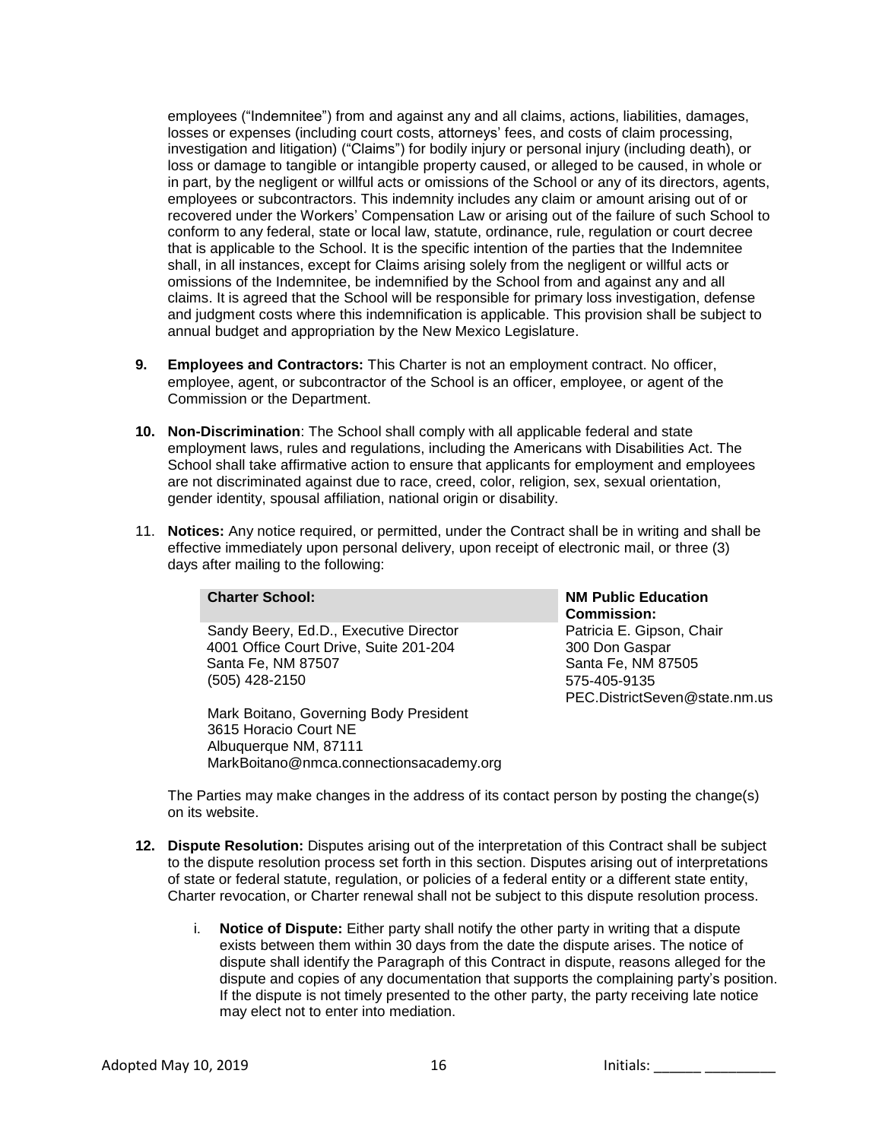employees ("Indemnitee") from and against any and all claims, actions, liabilities, damages, losses or expenses (including court costs, attorneys' fees, and costs of claim processing, investigation and litigation) ("Claims") for bodily injury or personal injury (including death), or loss or damage to tangible or intangible property caused, or alleged to be caused, in whole or in part, by the negligent or willful acts or omissions of the School or any of its directors, agents, employees or subcontractors. This indemnity includes any claim or amount arising out of or recovered under the Workers' Compensation Law or arising out of the failure of such School to conform to any federal, state or local law, statute, ordinance, rule, regulation or court decree that is applicable to the School. It is the specific intention of the parties that the Indemnitee shall, in all instances, except for Claims arising solely from the negligent or willful acts or omissions of the Indemnitee, be indemnified by the School from and against any and all claims. It is agreed that the School will be responsible for primary loss investigation, defense and judgment costs where this indemnification is applicable. This provision shall be subject to annual budget and appropriation by the New Mexico Legislature.

- **9. Employees and Contractors:** This Charter is not an employment contract. No officer, employee, agent, or subcontractor of the School is an officer, employee, or agent of the Commission or the Department.
- **10. Non-Discrimination**: The School shall comply with all applicable federal and state employment laws, rules and regulations, including the Americans with Disabilities Act. The School shall take affirmative action to ensure that applicants for employment and employees are not discriminated against due to race, creed, color, religion, sex, sexual orientation, gender identity, spousal affiliation, national origin or disability.
- 11. **Notices:** Any notice required, or permitted, under the Contract shall be in writing and shall be effective immediately upon personal delivery, upon receipt of electronic mail, or three (3) days after mailing to the following:

| <b>Charter School:</b>                 | <b>NM Public Education</b><br><b>Commission:</b> |
|----------------------------------------|--------------------------------------------------|
| Sandy Beery, Ed.D., Executive Director | Patricia E. Gipson, Chair                        |
| 4001 Office Court Drive, Suite 201-204 | 300 Don Gaspar                                   |
| Santa Fe, NM 87507                     | Santa Fe, NM 87505                               |
| (505) 428-2150                         | 575-405-9135                                     |
|                                        | PEC.DistrictSeven@state.nm.us                    |
| Mark Boitano, Governing Body President |                                                  |

3615 Horacio Court NE Albuquerque NM, 87111 MarkBoitano@nmca.connectionsacademy.org

The Parties may make changes in the address of its contact person by posting the change(s) on its website.

- **12. Dispute Resolution:** Disputes arising out of the interpretation of this Contract shall be subject to the dispute resolution process set forth in this section. Disputes arising out of interpretations of state or federal statute, regulation, or policies of a federal entity or a different state entity, Charter revocation, or Charter renewal shall not be subject to this dispute resolution process.
	- i. **Notice of Dispute:** Either party shall notify the other party in writing that a dispute exists between them within 30 days from the date the dispute arises. The notice of dispute shall identify the Paragraph of this Contract in dispute, reasons alleged for the dispute and copies of any documentation that supports the complaining party's position. If the dispute is not timely presented to the other party, the party receiving late notice may elect not to enter into mediation.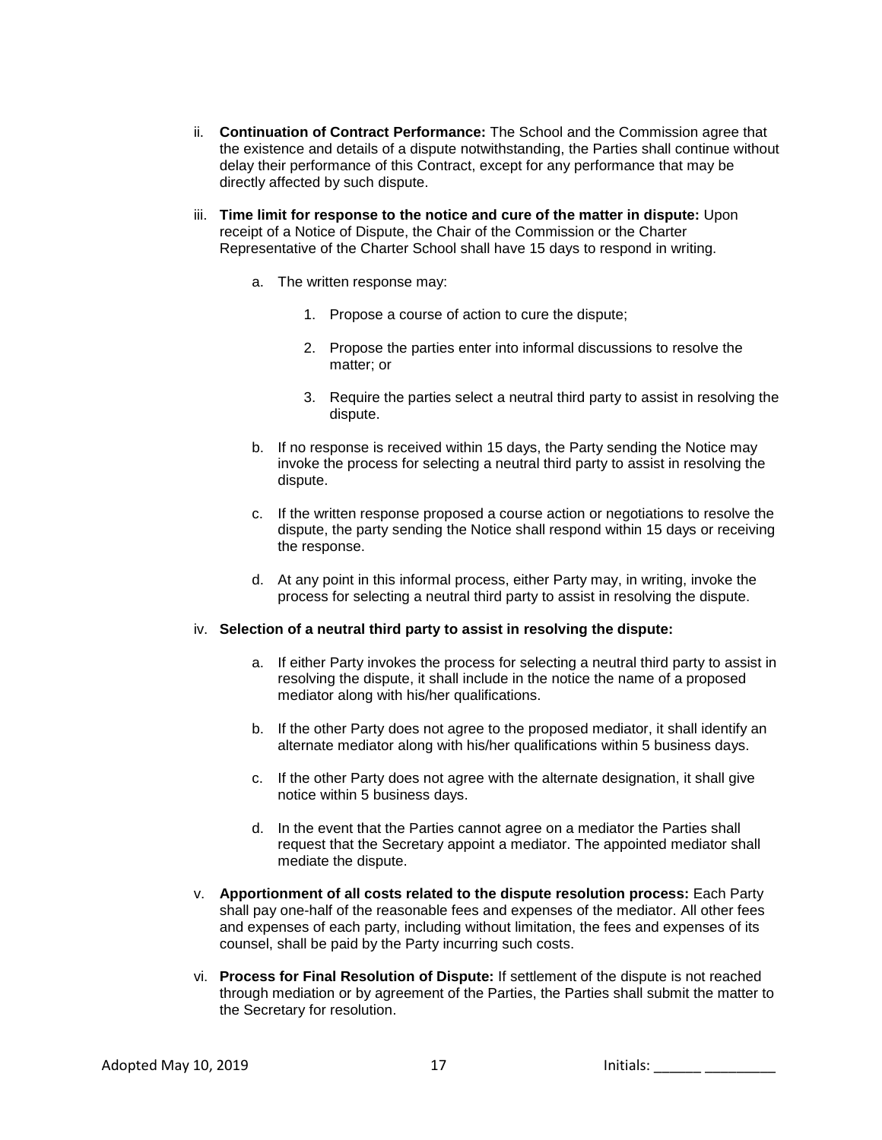- ii. **Continuation of Contract Performance:** The School and the Commission agree that the existence and details of a dispute notwithstanding, the Parties shall continue without delay their performance of this Contract, except for any performance that may be directly affected by such dispute.
- iii. **Time limit for response to the notice and cure of the matter in dispute:** Upon receipt of a Notice of Dispute, the Chair of the Commission or the Charter Representative of the Charter School shall have 15 days to respond in writing.
	- a. The written response may:
		- 1. Propose a course of action to cure the dispute;
		- 2. Propose the parties enter into informal discussions to resolve the matter; or
		- 3. Require the parties select a neutral third party to assist in resolving the dispute.
	- b. If no response is received within 15 days, the Party sending the Notice may invoke the process for selecting a neutral third party to assist in resolving the dispute.
	- c. If the written response proposed a course action or negotiations to resolve the dispute, the party sending the Notice shall respond within 15 days or receiving the response.
	- d. At any point in this informal process, either Party may, in writing, invoke the process for selecting a neutral third party to assist in resolving the dispute.

#### iv. **Selection of a neutral third party to assist in resolving the dispute:**

- a. If either Party invokes the process for selecting a neutral third party to assist in resolving the dispute, it shall include in the notice the name of a proposed mediator along with his/her qualifications.
- b. If the other Party does not agree to the proposed mediator, it shall identify an alternate mediator along with his/her qualifications within 5 business days.
- c. If the other Party does not agree with the alternate designation, it shall give notice within 5 business days.
- d. In the event that the Parties cannot agree on a mediator the Parties shall request that the Secretary appoint a mediator. The appointed mediator shall mediate the dispute.
- v. **Apportionment of all costs related to the dispute resolution process:** Each Party shall pay one-half of the reasonable fees and expenses of the mediator. All other fees and expenses of each party, including without limitation, the fees and expenses of its counsel, shall be paid by the Party incurring such costs.
- vi. **Process for Final Resolution of Dispute:** If settlement of the dispute is not reached through mediation or by agreement of the Parties, the Parties shall submit the matter to the Secretary for resolution.